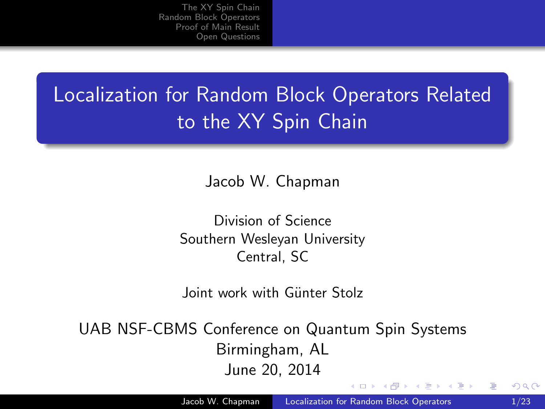## Localization for Random Block Operators Related to the XY Spin Chain

Jacob W. Chapman

Division of Science Southern Wesleyan University Central, SC

Joint work with Günter Stolz

UAB NSF-CBMS Conference on Quantum Spin Systems Birmingham, AL June 20, 2014

<span id="page-0-0"></span>オーモー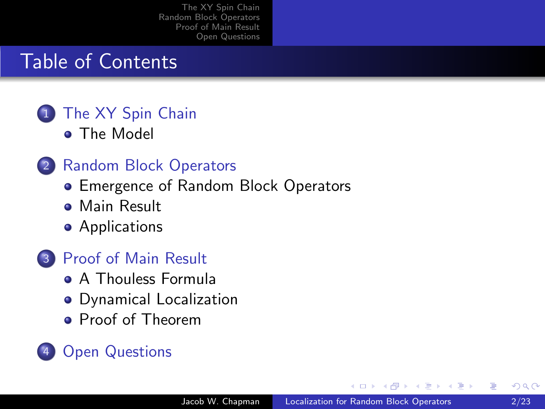#### Table of Contents

#### [The XY Spin Chain](#page-2-0) **• [The Model](#page-2-0)**

#### 2 [Random Block Operators](#page-7-0)

- [Emergence of Random Block Operators](#page-7-0)
- **[Main Result](#page-11-0)**
- **•** [Applications](#page-15-0)

#### 3 [Proof of Main Result](#page-26-0)

- [A Thouless Formula](#page-26-0)
- [Dynamical Localization](#page-34-0)
- [Proof of Theorem](#page-46-0)

#### **[Open Questions](#page-52-0)**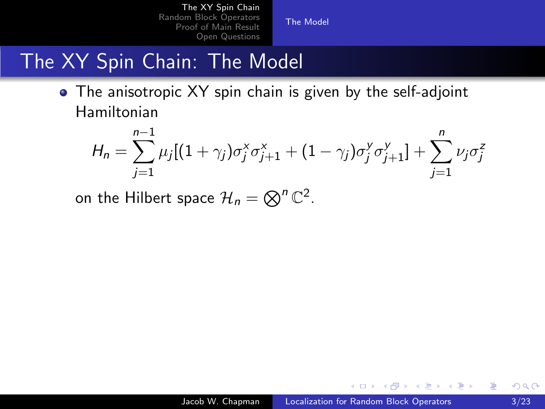[The Model](#page-6-0)

## The XY Spin Chain: The Model

• The anisotropic XY spin chain is given by the self-adjoint Hamiltonian

$$
H_n = \sum_{j=1}^{n-1} \mu_j [(1+\gamma_j)\sigma_j^x \sigma_{j+1}^x + (1-\gamma_j)\sigma_j^y \sigma_{j+1}^y] + \sum_{j=1}^n \nu_j \sigma_j^z
$$

on the Hilbert space  $\mathcal{H}_n = \bigotimes^n \mathbb{C}^2$ .

 $\sim$   $\sim$ 

<span id="page-2-0"></span> $\mathbf{F} \rightarrow \mathbf{F} \oplus \mathbf{F} \rightarrow \mathbf{F} \oplus \mathbf{F}$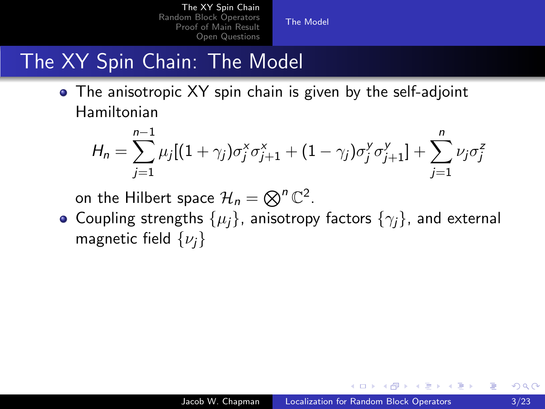[The Model](#page-6-0)

## The XY Spin Chain: The Model

• The anisotropic XY spin chain is given by the self-adjoint Hamiltonian

$$
H_n = \sum_{j=1}^{n-1} \mu_j [(1+\gamma_j)\sigma_j^x \sigma_{j+1}^x + (1-\gamma_j)\sigma_j^y \sigma_{j+1}^y] + \sum_{j=1}^n \nu_j \sigma_j^z
$$

on the Hilbert space  $\mathcal{H}_n = \bigotimes^n \mathbb{C}^2$ .

• Coupling strengths  $\{\mu_i\}$ , anisotropy factors  $\{\gamma_i\}$ , and external magnetic field  $\{\nu_i\}$ 

同→ (ヨ→ (ヨ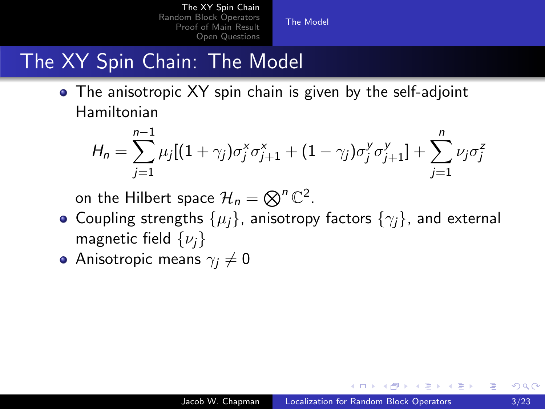[The Model](#page-6-0)

## The XY Spin Chain: The Model

• The anisotropic XY spin chain is given by the self-adjoint Hamiltonian

$$
H_n = \sum_{j=1}^{n-1} \mu_j [(1+\gamma_j)\sigma_j^x \sigma_{j+1}^x + (1-\gamma_j)\sigma_j^y \sigma_{j+1}^y] + \sum_{j=1}^n \nu_j \sigma_j^z
$$

on the Hilbert space  $\mathcal{H}_n = \bigotimes^n \mathbb{C}^2$ .

- Coupling strengths  $\{\mu_i\}$ , anisotropy factors  $\{\gamma_i\}$ , and external magnetic field  $\{\nu_i\}$
- Anisotropic means  $\gamma_i \neq 0$

A & Y B & Y B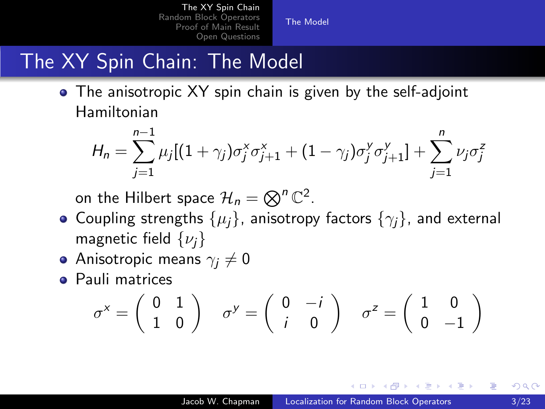[The Model](#page-6-0)

## The XY Spin Chain: The Model

• The anisotropic XY spin chain is given by the self-adjoint Hamiltonian

$$
H_n = \sum_{j=1}^{n-1} \mu_j [(1+\gamma_j)\sigma_j^x \sigma_{j+1}^x + (1-\gamma_j)\sigma_j^y \sigma_{j+1}^y] + \sum_{j=1}^n \nu_j \sigma_j^z
$$

on the Hilbert space  $\mathcal{H}_n = \bigotimes^n \mathbb{C}^2$ .

- Coupling strengths  $\{\mu_i\}$ , anisotropy factors  $\{\gamma_i\}$ , and external magnetic field  $\{\nu_i\}$
- Anisotropic means  $\gamma_i \neq 0$
- **Pauli matrices**

$$
\sigma^x = \begin{pmatrix} 0 & 1 \\ 1 & 0 \end{pmatrix} \quad \sigma^y = \begin{pmatrix} 0 & -i \\ i & 0 \end{pmatrix} \quad \sigma^z = \begin{pmatrix} 1 & 0 \\ 0 & -1 \end{pmatrix}
$$

A . . 2 . . 2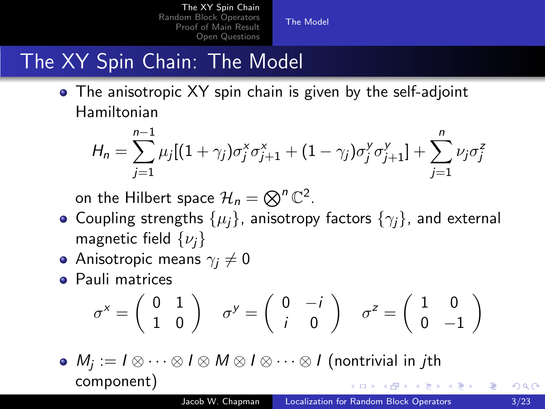[The Model](#page-2-0)

## The XY Spin Chain: The Model

• The anisotropic XY spin chain is given by the self-adjoint Hamiltonian

$$
H_n = \sum_{j=1}^{n-1} \mu_j [(1+\gamma_j)\sigma_j^x \sigma_{j+1}^x + (1-\gamma_j)\sigma_j^y \sigma_{j+1}^y] + \sum_{j=1}^n \nu_j \sigma_j^z
$$

on the Hilbert space  $\mathcal{H}_n = \bigotimes^n \mathbb{C}^2$ .

- Coupling strengths  $\{\mu_i\}$ , anisotropy factors  $\{\gamma_i\}$ , and external magnetic field  $\{\nu_i\}$
- Anisotropic means  $\gamma_i \neq 0$
- **Pauli matrices**

<span id="page-6-0"></span>
$$
\sigma^x = \begin{pmatrix} 0 & 1 \\ 1 & 0 \end{pmatrix} \quad \sigma^y = \begin{pmatrix} 0 & -i \\ i & 0 \end{pmatrix} \quad \sigma^z = \begin{pmatrix} 1 & 0 \\ 0 & -1 \end{pmatrix}
$$

 $M_j:=I\otimes\dots\otimes I\otimes M\otimes I\otimes\dots\otimes I$  (nontrivial in  $j$ th component)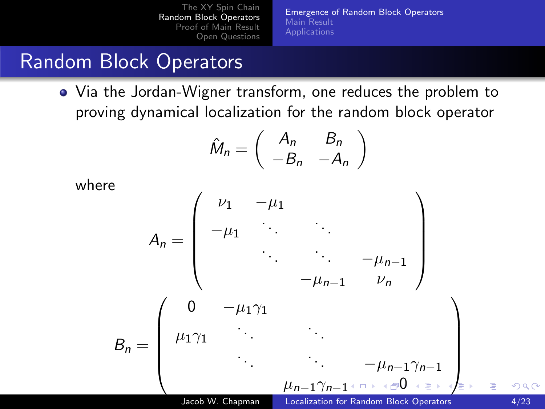[Emergence of Random Block Operators](#page-7-0) [Main Result](#page-11-0)

## Random Block Operators

Via the Jordan-Wigner transform, one reduces the problem to proving dynamical localization for the random block operator

<span id="page-7-0"></span>
$$
\hat{M}_n = \left( \begin{array}{cc} A_n & B_n \\ -B_n & -A_n \end{array} \right)
$$

where

$$
A_n = \begin{pmatrix} \nu_1 & -\mu_1 & & & & \\ -\mu_1 & \ddots & & & & \\ & \ddots & \ddots & -\mu_{n-1} & \\ & & \ddots & \ddots & -\mu_{n-1} \\ & & & -\mu_{n-1} & \nu_n \end{pmatrix}
$$

$$
B_n = \begin{pmatrix} 0 & -\mu_1 \gamma_1 & & & & \\ \mu_1 \gamma_1 & \ddots & & & & \\ & \ddots & \ddots & -\mu_{n-1} \gamma_{n-1} & \\ & & \ddots & \ddots & -\mu_{n-1} \gamma_{n-1} & \\ & & & \mu_{n-1} \gamma_{n-1} & \text{if } \rho & \text{if } \rho & \text{if } \rho & \text{if } \rho & \text{if } \rho & \text{if } \rho & \text{if } \rho & \text{if } \rho & \text{if } \rho & \text{if } \rho & \text{if } \rho & \text{if } \rho & \text{if } \rho & \text{if } \rho & \text{if } \rho & \text{if } \rho & \text{if } \rho & \text{if } \rho & \text{if } \rho & \text{if } \rho & \text{if } \rho & \text{if } \rho & \text{if } \rho & \text{if } \rho & \text{if } \rho & \text{if } \rho & \text{if } \rho & \text{if } \rho & \text{if } \rho & \text{if } \rho & \text{if } \rho & \text{if } \rho & \text{if } \rho & \text{if } \rho & \text{if } \rho & \text{if } \rho & \text{if } \rho & \text{if } \rho & \text{if } \rho & \text{if } \rho & \text{if } \rho & \text{if } \rho & \text{if } \rho & \text{if } \rho & \text{if } \rho & \text{if } \rho & \text{if } \rho & \text{if } \rho & \text{if } \rho & \text{if } \rho & \text{if } \rho & \text{if } \rho & \text{if } \rho & \text{if } \rho & \text{if } \rho & \text{if } \rho & \text{if } \rho & \text{if } \rho & \text{if } \rho & \text{if } \rho & \text{if } \rho & \text{if } \rho & \text{if } \rho & \text{if } \rho & \text{if } \rho & \text{if } \rho & \text{if } \rho & \text{if }
$$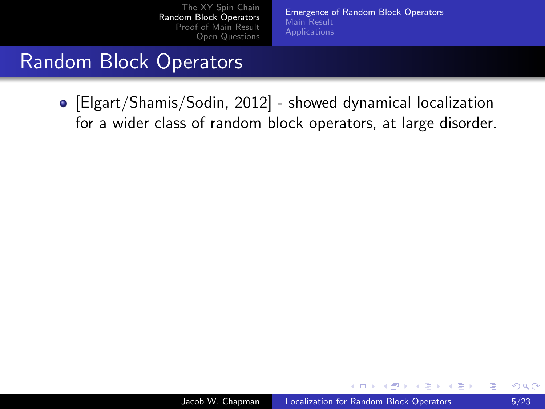[Emergence of Random Block Operators](#page-7-0) [Main Result](#page-11-0) **[Applications](#page-15-0)** 

#### Random Block Operators

[Elgart/Shamis/Sodin, 2012] - showed dynamical localization for a wider class of random block operators, at large disorder.

a mills

<span id="page-8-0"></span>∢ 何 ▶ . ∢ 手 ▶ . ∢ 手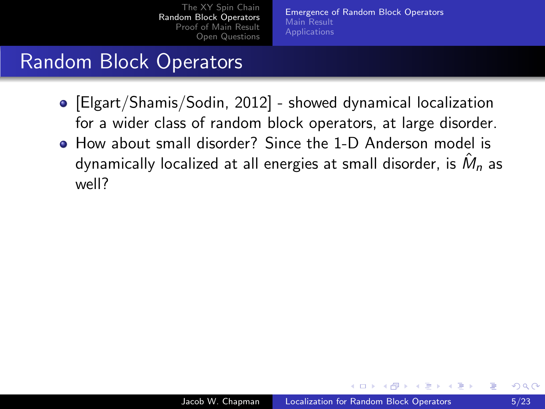[Emergence of Random Block Operators](#page-7-0) [Main Result](#page-11-0) [Applications](#page-15-0)

### Random Block Operators

- [Elgart/Shamis/Sodin, 2012] showed dynamical localization for a wider class of random block operators, at large disorder.
- How about small disorder? Since the 1-D Anderson model is dynamically localized at all energies at small disorder, is  $\hat{M}_n$  as well?

A . . 2 . .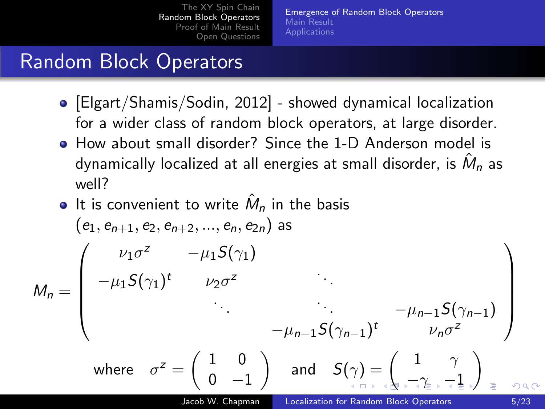<span id="page-10-0"></span>[Emergence of Random Block Operators](#page-7-0) [Main Result](#page-11-0) [Applications](#page-15-0)

### Random Block Operators

- [Elgart/Shamis/Sodin, 2012] showed dynamical localization for a wider class of random block operators, at large disorder.
- How about small disorder? Since the 1-D Anderson model is dynamically localized at all energies at small disorder, is  $\hat{M}_n$  as well?

\n- \n**6** It is convenient to write 
$$
\hat{M}_n
$$
 in the basis\n  $(e_1, e_{n+1}, e_2, e_{n+2}, \ldots, e_n, e_{2n})$  as\n 
$$
M_n = \begin{pmatrix}\n \nu_1 \sigma^2 & -\mu_1 S(\gamma_1) & & \\
-\mu_1 S(\gamma_1)^t & \nu_2 \sigma^2 & & \\
& \ddots & \ddots & \ddots & \\
& \ddots & \ddots & \ddots & \\
& -\mu_{n-1} S(\gamma_{n-1})^t & \nu_n \sigma^2\n \end{pmatrix}
$$
\n where  $\sigma^2 = \begin{pmatrix} 1 & 0 \\ 0 & -1 \end{pmatrix}$  and  $S(\gamma) = \begin{pmatrix} 1 & \gamma \\ \vdots & \ddots & \\
& \ddots & \\
& \ddots & \\
& \ddots & \\
& \ddots & \\
& \ddots & \\
& \ddots & \\
& \ddots & \\
& \ddots & \\
& \ddots & \\
& \ddots & \\
& \ddots & \\
& \ddots & \\
& \ddots & \\
& \ddots & \\
& \ddots & \\
& \ddots & \\
& \ddots & \\
& \ddots & \\
& \ddots & \\
& \ddots & \\
& \ddots & \\
& \ddots & \\
& \ddots & \\
& \ddots & \\
& \ddots & \\
& \ddots & \\
& \ddots & \\
& \ddots & \\
& \ddots & \\
& \ddots & \\
& \ddots & \\
& \ddots & \\
& \ddots & \\
& \ddots & \\
& \ddots & \\
& \ddots & \\
& \ddots & \\
& \ddots & \\
& \ddots & \\
& \ddots & \\
& \ddots & \\
& \ddots & \\
& \ddots & \\
& \ddots & \\
& \dd$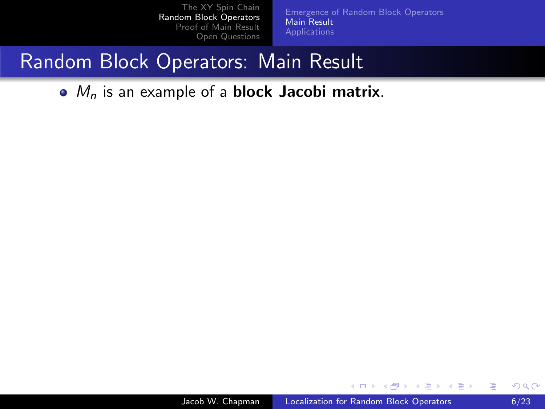[Emergence of Random Block Operators](#page-7-0) [Main Result](#page-14-0)

#### Random Block Operators: Main Result

 $\bullet$   $M_n$  is an example of a **block Jacobi matrix**.

4 0 8

<span id="page-11-0"></span>∢何 ▶ ∢ ヨ ▶ ∢ ヨ ▶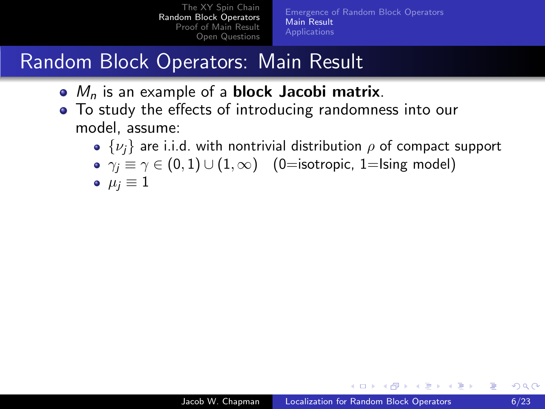[The XY Spin Chain](#page-2-0) [Random Block Operators](#page-7-0) [Proof of Main Result](#page-26-0) [Open Questions](#page-52-0) [Emergence of Random Block Operators](#page-7-0) [Main Result](#page-14-0) [Applications](#page-15-0)

## Random Block Operators: Main Result

- $\bullet$   $M_n$  is an example of a **block Jacobi matrix**.
- To study the effects of introducing randomness into our model, assume:
	- $\{\nu_i\}$  are i.i.d. with nontrivial distribution  $\rho$  of compact support
	- $\gamma_i \equiv \gamma \in (0, 1) \cup (1, \infty)$  (0=isotropic, 1=Ising model)
	- $\bullet \ \mu_i \equiv 1$

**<何> <ヨ> <ヨ**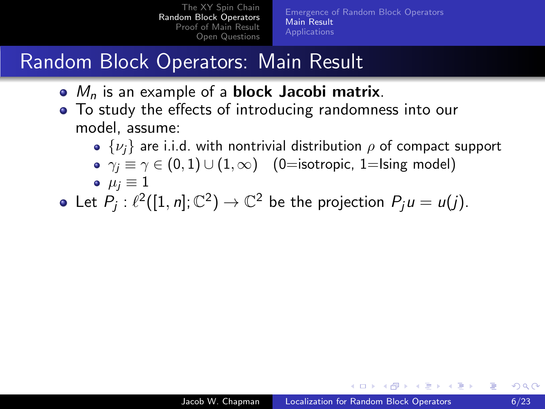[The XY Spin Chain](#page-2-0) [Random Block Operators](#page-7-0) [Proof of Main Result](#page-26-0) [Open Questions](#page-52-0) [Emergence of Random Block Operators](#page-7-0) [Main Result](#page-14-0) [Applications](#page-15-0)

## Random Block Operators: Main Result

- $\bullet$   $M_n$  is an example of a **block Jacobi matrix**.
- To study the effects of introducing randomness into our model, assume:
	- $\{\nu_i\}$  are i.i.d. with nontrivial distribution  $\rho$  of compact support
	- $\gamma_j \equiv \gamma \in (0, 1) \cup (1, \infty)$  (0=isotropic, 1=Ising model)

$$
\bullet~~\mu_j\equiv 1
$$

Let  $P_j: \ell^2([1, n]; \mathbb{C}^2) \to \mathbb{C}^2$  be the projection  $P_j u = u(j)$ .

 $\mathcal{A}$  and  $\mathcal{A}$  in the set of  $\mathbb{R}^n$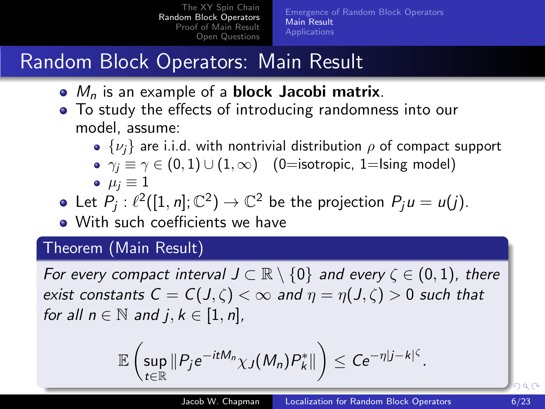[The XY Spin Chain](#page-2-0) [Random Block Operators](#page-7-0) [Proof of Main Result](#page-26-0) [Open Questions](#page-52-0) [Emergence of Random Block Operators](#page-7-0) [Main Result](#page-11-0) [Applications](#page-15-0)

## Random Block Operators: Main Result

- $\bullet$   $M_n$  is an example of a **block Jacobi matrix**.
- To study the effects of introducing randomness into our model, assume:
	- $\{\nu_i\}$  are i.i.d. with nontrivial distribution  $\rho$  of compact support
	- $\gamma_i \equiv \gamma \in (0,1) \cup (1,\infty)$  (0=isotropic, 1=Ising model)

$$
\bullet~~\mu_j\equiv 1
$$

Let  $P_j: \ell^2([1, n]; \mathbb{C}^2) \to \mathbb{C}^2$  be the projection  $P_j u = u(j)$ .

• With such coefficients we have

#### Theorem (Main Result)

For every compact interval  $J \subset \mathbb{R} \setminus \{0\}$  and every  $\zeta \in (0,1)$ , there exist constants  $C = C(J,\zeta) < \infty$  and  $\eta = \eta(J,\zeta) > 0$  such that for all  $n \in \mathbb{N}$  and  $i, k \in [1, n]$ ,

<span id="page-14-0"></span>
$$
\mathbb{E}\left(\sup_{t\in\mathbb{R}}\|P_je^{-itM_n}\chi_J(M_n)P_k^*\|\right)\leq Ce^{-\eta|j-k|^{\zeta}}.
$$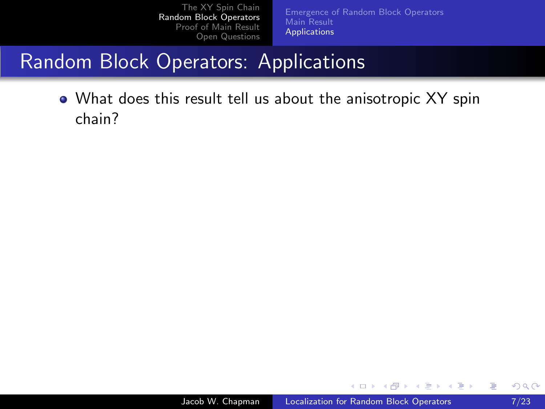[Emergence of Random Block Operators](#page-7-0) [Main Result](#page-11-0) [Applications](#page-16-0)

## Random Block Operators: Applications

<span id="page-15-2"></span><span id="page-15-1"></span>What does this result tell us about the anisotropic XY spin chain?

4 0 8

<span id="page-15-0"></span>∢何 ▶ ∢ ヨ ▶ ∢ ヨ ▶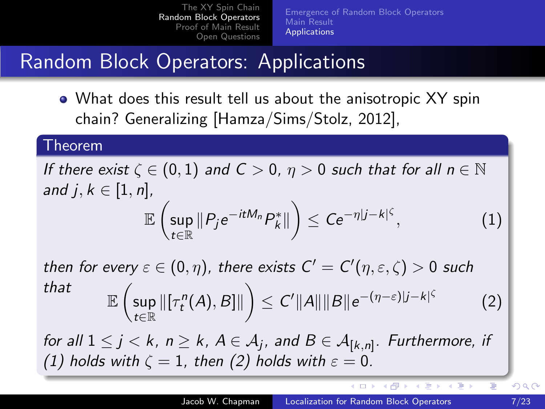[Emergence of Random Block Operators](#page-7-0) [Main Result](#page-11-0) [Applications](#page-15-0)

## Random Block Operators: Applications

What does this result tell us about the anisotropic XY spin chain? Generalizing [Hamza/Sims/Stolz, 2012],

#### Theorem

If there exist  $\zeta \in (0,1)$  and  $C > 0$ ,  $\eta > 0$  such that for all  $n \in \mathbb{N}$ and  $j, k \in [1, n]$ ,  $\mathbb{E}\,\Big(\textsf{sup}$  $\sup_{t\in\mathbb{R}}\Vert P_je^{-itM_n}P_k^*\Vert\bigg)\leq Ce^{-\eta|j-k|^{\zeta}}$  $(1)$ 

then for every  $\varepsilon \in (0,\eta)$ , there exists  $C'=C'(\eta,\varepsilon,\zeta)>0$  such that  $\mathbb{E}\,\Big(\big\textsf{sup}$ t∈R  $\left\| [\tau_t^n(A), B] \right\| \Big) \leq C' \|A\| \|B\| e^{-(\eta - \varepsilon) |j-k|^{\zeta}}$ (2)

for all  $1\leq j < k,~n\geq k,~ A\in {\cal A}_j$ , and  $B\in {\cal A}_{[k,n]}.$  Furthermore, if [\(1\)](#page-15-1) holds with  $\zeta = 1$ , then [\(2\)](#page-15-2) holds with  $\varepsilon = 0$ .

∢ロト ∢母ト ∢ヨト ∢ヨト

<span id="page-16-0"></span>Ξ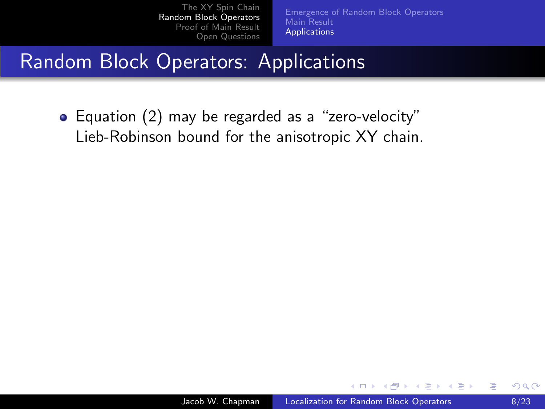[Emergence of Random Block Operators](#page-7-0) [Main Result](#page-11-0) [Applications](#page-15-0)

## Random Block Operators: Applications

• Equation [\(2\)](#page-15-2) may be regarded as a "zero-velocity" Lieb-Robinson bound for the anisotropic XY chain.

4 17 18

**<何> <ヨ> <ヨ**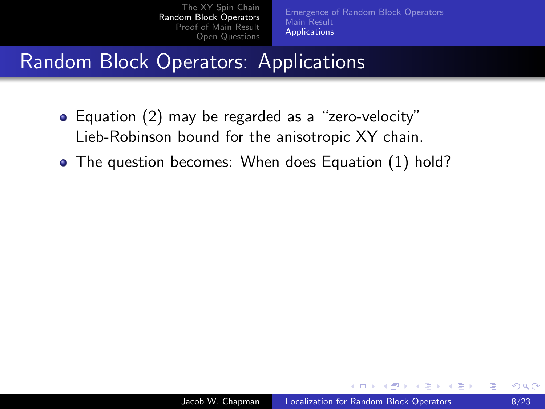[Emergence of Random Block Operators](#page-7-0) [Main Result](#page-11-0) [Applications](#page-15-0)

## **Random Block Operators: Applications**

- Equation [\(2\)](#page-15-2) may be regarded as a "zero-velocity" Lieb-Robinson bound for the anisotropic XY chain.
- The question becomes: When does Equation [\(1\)](#page-15-1) hold?

4 17 18

**<何> <ヨ> <ヨ**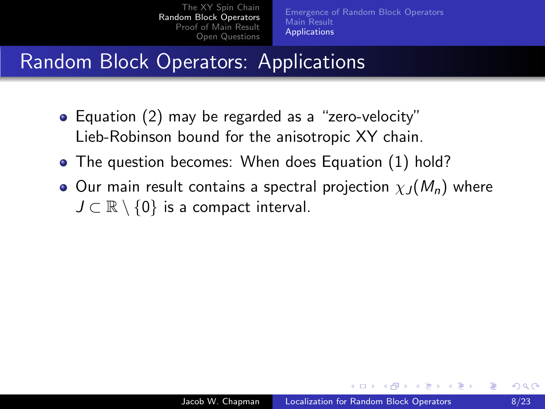[Emergence of Random Block Operators](#page-7-0) [Main Result](#page-11-0) [Applications](#page-15-0)

## Random Block Operators: Applications

- Equation [\(2\)](#page-15-2) may be regarded as a "zero-velocity" Lieb-Robinson bound for the anisotropic XY chain.
- The question becomes: When does Equation [\(1\)](#page-15-1) hold?
- **O** Our main result contains a spectral projection  $\chi_I (M_n)$  where  $J \subset \mathbb{R} \setminus \{0\}$  is a compact interval.

4 17 18

- ④ ラ ス ヨ メ ス ヨ

つくへ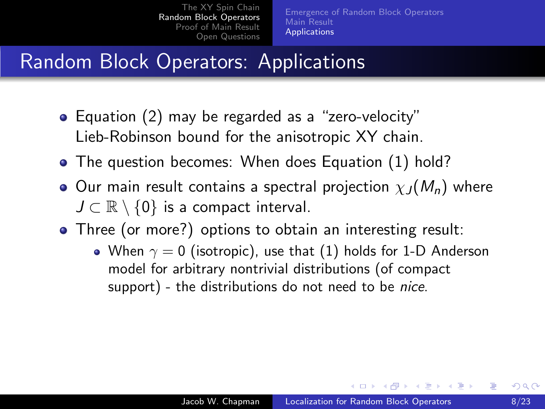[Emergence of Random Block Operators](#page-7-0) [Main Result](#page-11-0) **[Applications](#page-15-0)** 

## Random Block Operators: Applications

- Equation [\(2\)](#page-15-2) may be regarded as a "zero-velocity" Lieb-Robinson bound for the anisotropic XY chain.
- The question becomes: When does Equation [\(1\)](#page-15-1) hold?
- **O** Our main result contains a spectral projection  $\chi_I (M_n)$  where  $J \subset \mathbb{R} \setminus \{0\}$  is a compact interval.
- Three (or more?) options to obtain an interesting result:
	- When  $\gamma = 0$  (isotropic), use that [\(1\)](#page-15-1) holds for 1-D Anderson model for arbitrary nontrivial distributions (of compact support) - the distributions do not need to be *nice*.

∢ロト ∢母ト ∢目ト ∢目ト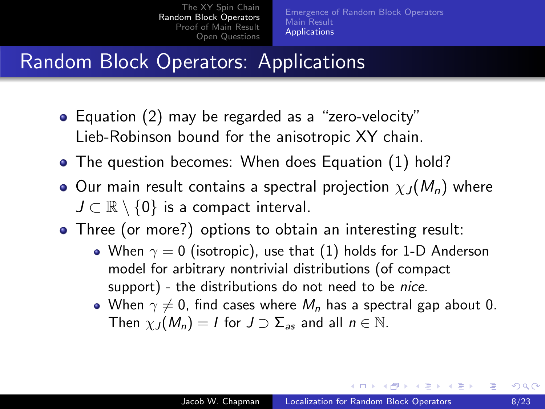[Emergence of Random Block Operators](#page-7-0) [Main Result](#page-11-0) [Applications](#page-15-0)

## Random Block Operators: Applications

- Equation [\(2\)](#page-15-2) may be regarded as a "zero-velocity" Lieb-Robinson bound for the anisotropic XY chain.
- The question becomes: When does Equation [\(1\)](#page-15-1) hold?
- **O** Our main result contains a spectral projection  $\chi_I (M_n)$  where  $J \subset \mathbb{R} \setminus \{0\}$  is a compact interval.
- Three (or more?) options to obtain an interesting result:
	- When  $\gamma = 0$  (isotropic), use that [\(1\)](#page-15-1) holds for 1-D Anderson model for arbitrary nontrivial distributions (of compact support) - the distributions do not need to be *nice*.
	- When  $\gamma \neq 0$ , find cases where  $M_n$  has a spectral gap about 0. Then  $\chi_J(M_n) = I$  for  $J \supset \Sigma_{as}$  and all  $n \in \mathbb{N}$ .

∢ロト ∢母ト ∢ヨト ∢ヨト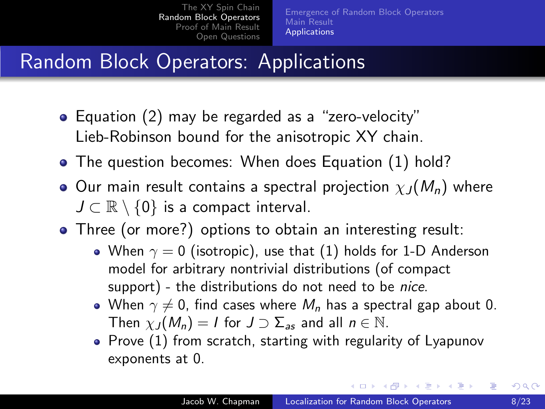[Emergence of Random Block Operators](#page-7-0) [Main Result](#page-11-0) [Applications](#page-15-0)

## Random Block Operators: Applications

- Equation [\(2\)](#page-15-2) may be regarded as a "zero-velocity" Lieb-Robinson bound for the anisotropic XY chain.
- The question becomes: When does Equation [\(1\)](#page-15-1) hold?
- **O** Our main result contains a spectral projection  $\chi_I (M_n)$  where  $J \subset \mathbb{R} \setminus \{0\}$  is a compact interval.
- Three (or more?) options to obtain an interesting result:
	- When  $\gamma = 0$  (isotropic), use that [\(1\)](#page-15-1) holds for 1-D Anderson model for arbitrary nontrivial distributions (of compact support) - the distributions do not need to be nice.
	- When  $\gamma \neq 0$ , find cases where  $M_n$  has a spectral gap about 0. Then  $\chi_J(M_n) = I$  for  $J \supset \Sigma_{as}$  and all  $n \in \mathbb{N}$ .
	- Prove  $(1)$  from scratch, starting with regularity of Lyapunov exponents at 0.

∢ロト ∢母ト ∢ヨト ∢ヨト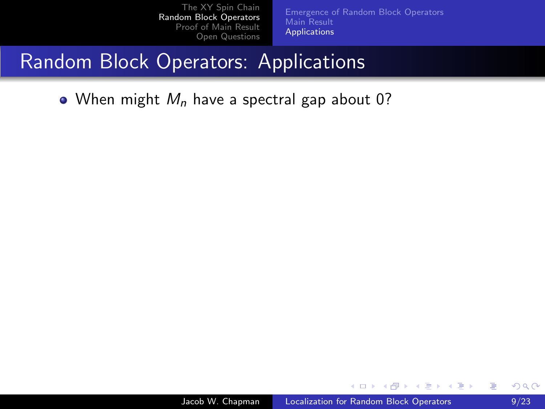[Emergence of Random Block Operators](#page-7-0) [Main Result](#page-11-0) [Applications](#page-15-0)

## Random Block Operators: Applications

• When might  $M_n$  have a spectral gap about 0?

4 0 8

∢何 ▶ ∢ ヨ ▶ ∢ ヨ ▶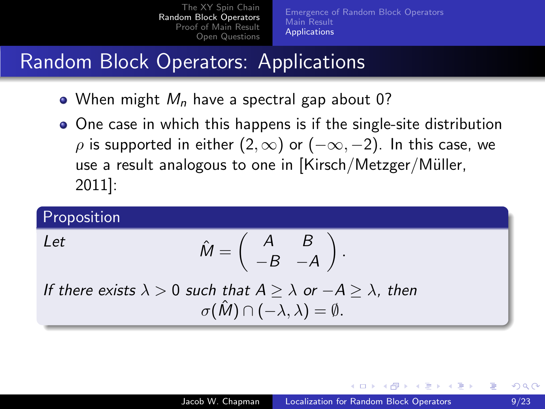[Emergence of Random Block Operators](#page-7-0) [Main Result](#page-11-0) [Applications](#page-15-0)

## Random Block Operators: Applications

- When might  $M_n$  have a spectral gap about 0?
- One case in which this happens is if the single-site distribution  $\rho$  is supported in either  $(2, \infty)$  or  $(-\infty, -2)$ . In this case, we use a result analogous to one in  $Kirsch/Metzger/Müller$ , 2011]:

#### Proposition

Let 
$$
\hat{M} = \begin{pmatrix} A & B \\ -B & -A \end{pmatrix}
$$
.

If there exists  $\lambda > 0$  such that  $A > \lambda$  or  $-A > \lambda$ , then  $\sigma(\hat{M}) \cap (-\lambda, \lambda) = \emptyset.$ 

a miller

- ④ インド ミット イヨッ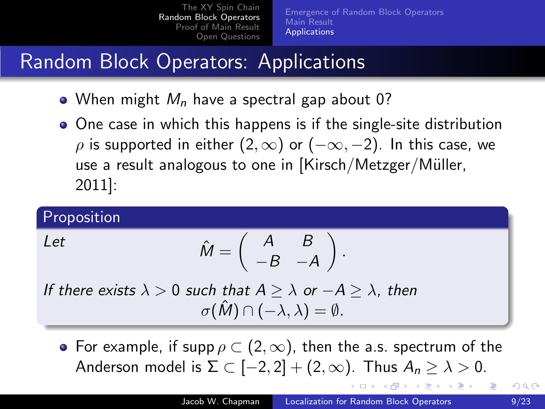[Emergence of Random Block Operators](#page-7-0) [Main Result](#page-11-0) [Applications](#page-15-0)

## Random Block Operators: Applications

- When might  $M_n$  have a spectral gap about 0?
- One case in which this happens is if the single-site distribution  $\rho$  is supported in either  $(2, \infty)$  or  $(-\infty, -2)$ . In this case, we use a result analogous to one in  $Kirsch/Metzger/Müller$ , 2011]:

#### Proposition

Let 
$$
\hat{M} = \begin{pmatrix} A & B \\ -B & -A \end{pmatrix}
$$
.

If there exists  $\lambda > 0$  such that  $A > \lambda$  or  $-A > \lambda$ , then  $\sigma(\hat{M}) \cap (-\lambda, \lambda) = \emptyset.$ 

• For example, if supp  $\rho \subset (2,\infty)$ , then the a.s. spectrum of the Anderson model is  $\Sigma \subset [-2,2] + (2,\infty)$ . Thus  $A_n \geq \lambda > 0$ .

<span id="page-25-0"></span>ロトメ 倒 トメ きょくきょう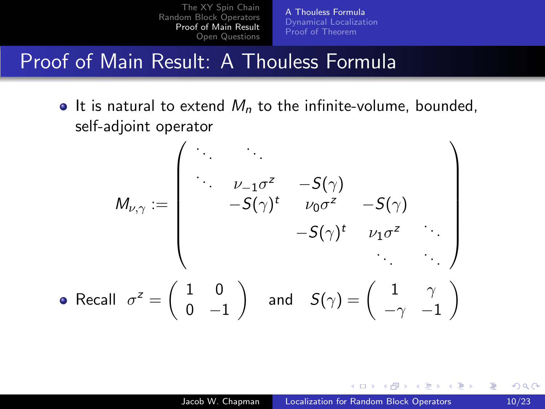[A Thouless Formula](#page-27-0) [Dynamical Localization](#page-34-0) [Proof of Theorem](#page-46-0)

### Proof of Main Result: A Thouless Formula

 $\bullet$  It is natural to extend  $M_n$  to the infinite-volume, bounded, self-adjoint operator

$$
M_{\nu,\gamma} := \begin{pmatrix} \cdot & \cdot & \cdot & \cdot \\ \cdot & \nu_{-1}\sigma^z & -S(\gamma) & \cdot \\ \cdot & -S(\gamma)^t & \nu_0\sigma^z & -S(\gamma) & \cdot \\ \cdot & -S(\gamma)^t & \nu_1\sigma^z & \cdot \\ \cdot & \cdot & \cdot & \cdot \\ \cdot & \cdot & \cdot & \cdot \end{pmatrix}
$$
   
• Recall  $\sigma^z = \begin{pmatrix} 1 & 0 \\ 0 & -1 \end{pmatrix}$  and  $S(\gamma) = \begin{pmatrix} 1 & \gamma \\ -\gamma & -1 \end{pmatrix}$ 

and in

<span id="page-26-0"></span>∢ 何 ▶ . ∢ 手 ▶ . ∢ 手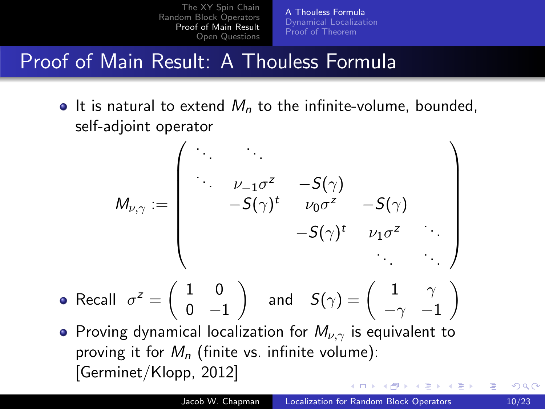[A Thouless Formula](#page-26-0) [Dynamical Localization](#page-34-0) [Proof of Theorem](#page-46-0)

## Proof of Main Result: A Thouless Formula

 $\bullet$  It is natural to extend  $M_n$  to the infinite-volume, bounded, self-adjoint operator

$$
M_{\nu,\gamma}:=\left(\begin{array}{cccccc} \ddots & & & & & \\ & \ddots & \ddots & & & \\ & & \nu_{-1}\sigma^z & -S(\gamma) & & \\ & & -S(\gamma)^t & \nu_0\sigma^z & -S(\gamma) & \\ & & & -S(\gamma)^t & \nu_1\sigma^z & \\ & & & & \ddots \end{array}\right)
$$

- Recall  $\sigma^z = \begin{pmatrix} 1 & 0 \\ 0 & 0 \end{pmatrix}$  $0 -1$ ) and  $S(\gamma) = \begin{pmatrix} 1 & \gamma \end{pmatrix}$  $-\gamma$  -1  $\setminus$
- <span id="page-27-0"></span>• Proving dynamical localization for  $M_{\nu,\gamma}$  is equivalent to proving it for  $M_n$  (finite vs. infinite volume): [Germinet/Klopp, 2012]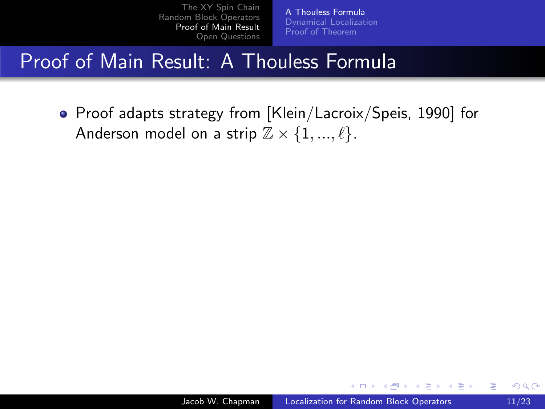[A Thouless Formula](#page-26-0) [Dynamical Localization](#page-34-0) [Proof of Theorem](#page-46-0)

## Proof of Main Result: A Thouless Formula

• Proof adapts strategy from [Klein/Lacroix/Speis, 1990] for Anderson model on a strip  $\mathbb{Z} \times \{1, ..., \ell\}$ .

and in

**<何> <ヨ> <ヨ**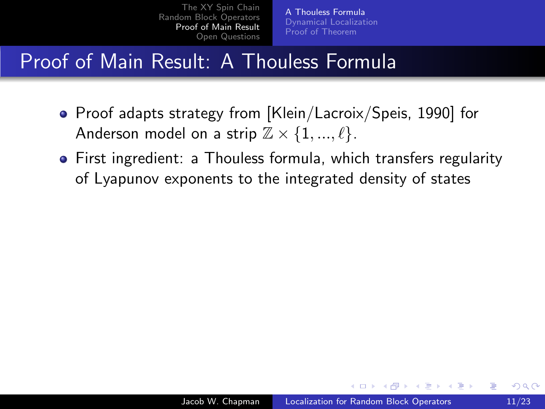[A Thouless Formula](#page-26-0) [Dynamical Localization](#page-34-0) [Proof of Theorem](#page-46-0)

## Proof of Main Result: A Thouless Formula

- Proof adapts strategy from [Klein/Lacroix/Speis, 1990] for Anderson model on a strip  $\mathbb{Z} \times \{1, ..., \ell\}$ .
- First ingredient: a Thouless formula, which transfers regularity of Lyapunov exponents to the integrated density of states

 $\mathcal{A}$  and  $\mathcal{A}$  in the set of  $\mathbb{R}^n$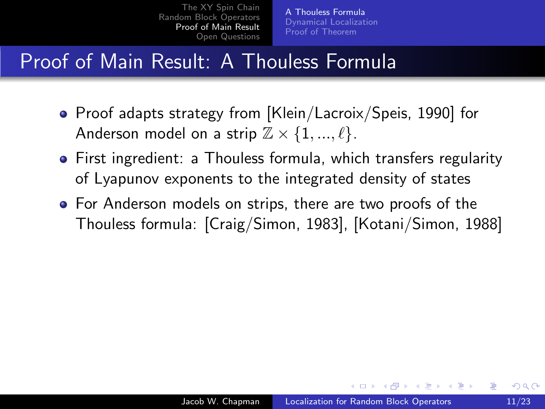[A Thouless Formula](#page-26-0) [Dynamical Localization](#page-34-0) [Proof of Theorem](#page-46-0)

## Proof of Main Result: A Thouless Formula

- Proof adapts strategy from [Klein/Lacroix/Speis, 1990] for Anderson model on a strip  $\mathbb{Z} \times \{1, ..., \ell\}$ .
- First ingredient: a Thouless formula, which transfers regularity of Lyapunov exponents to the integrated density of states
- **•** For Anderson models on strips, there are two proofs of the Thouless formula: [Craig/Simon, 1983], [Kotani/Simon, 1988]

 $\mathcal{A}$  and  $\mathcal{A}$  . The contribution of  $\mathbb{R}^n$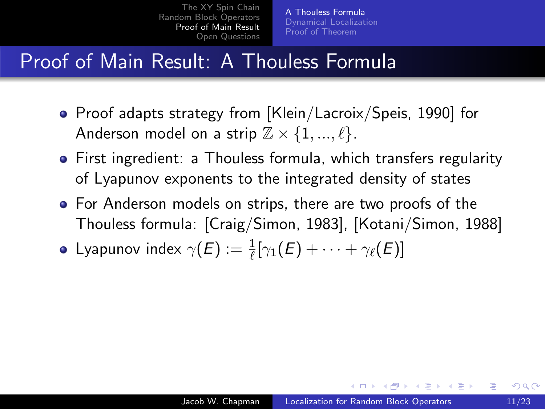[A Thouless Formula](#page-26-0) [Dynamical Localization](#page-34-0) [Proof of Theorem](#page-46-0)

## Proof of Main Result: A Thouless Formula

- Proof adapts strategy from [Klein/Lacroix/Speis, 1990] for Anderson model on a strip  $\mathbb{Z} \times \{1, ..., \ell\}$ .
- First ingredient: a Thouless formula, which transfers regularity of Lyapunov exponents to the integrated density of states
- For Anderson models on strips, there are two proofs of the Thouless formula: [Craig/Simon, 1983], [Kotani/Simon, 1988]
- Lyapunov index  $\gamma(E) := \frac{1}{\ell} [\gamma_1(E) + \cdots + \gamma_\ell(E)]$

 $\mathcal{A}$  and  $\mathcal{A}$  in the set of  $\mathbb{R}$  is a set of  $\mathbb{R}$  is a set of  $\mathbb{R}$  is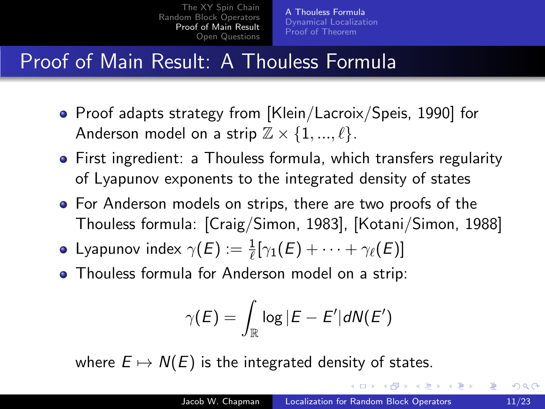[A Thouless Formula](#page-26-0) [Dynamical Localization](#page-34-0) [Proof of Theorem](#page-46-0)

## Proof of Main Result: A Thouless Formula

- Proof adapts strategy from [Klein/Lacroix/Speis, 1990] for Anderson model on a strip  $\mathbb{Z} \times \{1, ..., \ell\}$ .
- First ingredient: a Thouless formula, which transfers regularity of Lyapunov exponents to the integrated density of states
- For Anderson models on strips, there are two proofs of the Thouless formula: [Craig/Simon, 1983], [Kotani/Simon, 1988]
- Lyapunov index  $\gamma(E) := \frac{1}{\ell} [\gamma_1(E) + \cdots + \gamma_\ell(E)]$
- Thouless formula for Anderson model on a strip:

$$
\gamma(E) = \int_{\mathbb{R}} \log |E - E'| dN(E')
$$

where  $E \mapsto N(E)$  is the integrated density of states.

<span id="page-32-0"></span> $\langle \bigcap \mathbb{P} \rangle$   $\rightarrow$   $\langle \bigcap \mathbb{P} \rangle$   $\rightarrow$   $\langle \bigcap \mathbb{P} \rangle$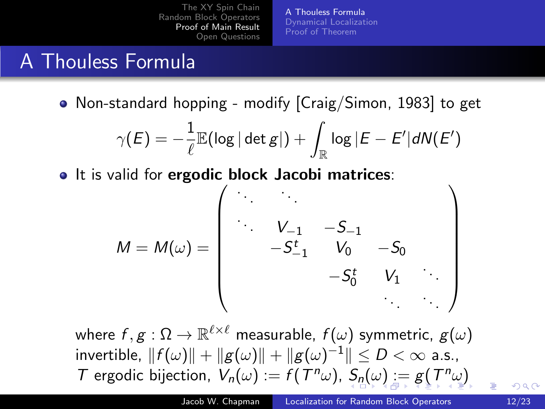[A Thouless Formula](#page-26-0) [Dynamical Localization](#page-34-0) [Proof of Theorem](#page-46-0)

### A Thouless Formula

• Non-standard hopping - modify [Craig/Simon, 1983] to get

$$
\gamma(E) = -\frac{1}{\ell} \mathbb{E}(\log |\det g|) + \int_{\mathbb{R}} \log |E - E'| d \mathsf{N}(E')
$$

• It is valid for ergodic block Jacobi matrices:

M = M(ω) = . . . . . . . . . V−<sup>1</sup> −S−<sup>1</sup> −S t <sup>−</sup><sup>1</sup> V<sup>0</sup> −S<sup>0</sup> −S t <sup>0</sup> V<sup>1</sup> . . . . . . . . . 

<span id="page-33-0"></span>where  $f,g:\Omega\to\mathbb{R}^{\ell\times\ell}$  measurable,  $f(\omega)$  symmetric,  $g(\omega)$ invertible,  $\|f(\omega)\| + \|g(\omega)\| + \|g(\omega)^{-1}\| \leq D < \infty$  a.s., T er[g](#page-25-0)odic bijection,  $V_n(\omega) := f(T^n \omega)$  $V_n(\omega) := f(T^n \omega)$  $V_n(\omega) := f(T^n \omega)$  $V_n(\omega) := f(T^n \omega)$  $V_n(\omega) := f(T^n \omega)$  $V_n(\omega) := f(T^n \omega)$  $V_n(\omega) := f(T^n \omega)$  $V_n(\omega) := f(T^n \omega)$ ,  $S_n(\omega) := g(T^n \omega)$  $S_n(\omega) := g(T^n \omega)$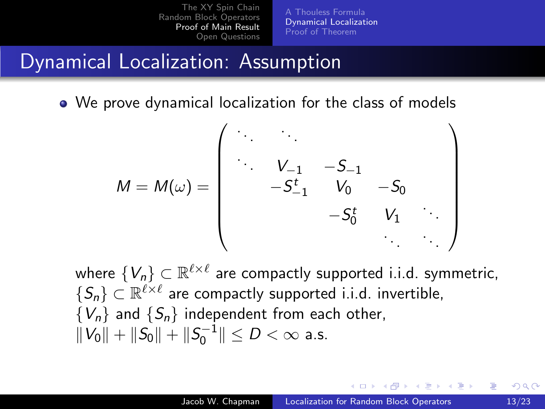[A Thouless Formula](#page-26-0) [Dynamical Localization](#page-35-0) [Proof of Theorem](#page-46-0)

#### Dynamical Localization: Assumption

• We prove dynamical localization for the class of models

M = M(ω) = . . . . . . . . . V−<sup>1</sup> −S−<sup>1</sup> −S t <sup>−</sup><sup>1</sup> V<sup>0</sup> −S<sup>0</sup> −S t <sup>0</sup> V<sup>1</sup> . . . . . . . . . 

where  $\{V_n\} \subset \mathbb{R}^{\ell \times \ell}$  are compactly supported i.i.d. symmetric,  $\{S_n\} \subset \mathbb{R}^{\ell \times \ell}$  are compactly supported i.i.d. invertible,  $\{V_n\}$  and  $\{S_n\}$  independent from each other,  $||V_0|| + ||S_0|| + ||S_0^{-1}|| \le D < \infty$  a.s.

<span id="page-34-0"></span> $\mathcal{A}$  and  $\mathcal{A}$  in the set of  $\mathbb{R}^n$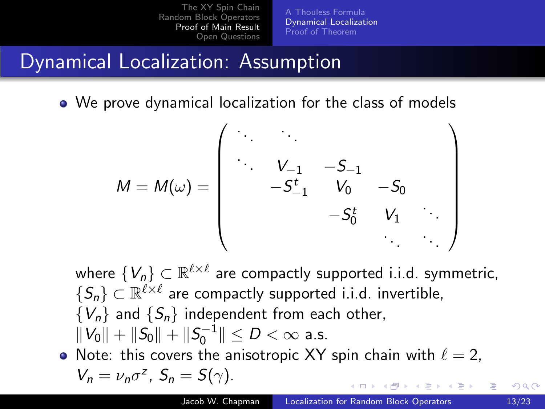[A Thouless Formula](#page-26-0) [Dynamical Localization](#page-34-0) [Proof of Theorem](#page-46-0)

### Dynamical Localization: Assumption

We prove dynamical localization for the class of models

$$
M = M(\omega) = \begin{pmatrix} \ddots & \ddots & & & \\ \ddots & V_{-1} & -S_{-1} & & \\ & -S_{-1}^{t} & V_{0} & -S_{0} & \\ & & -S_{0}^{t} & V_{1} & \\ & & & \ddots & \ddots \end{pmatrix}
$$

where  $\{V_n\} \subset \mathbb{R}^{\ell \times \ell}$  are compactly supported i.i.d. symmetric,  $\{S_n\} \subset \mathbb{R}^{\ell \times \ell}$  are compactly supported i.i.d. invertible,  $\{V_n\}$  and  $\{S_n\}$  independent from each other,  $||V_0|| + ||S_0|| + ||S_0^{-1}|| \le D < \infty$  a.s. Note: this covers the anisotropic XY spin chain with  $\ell = 2$ ,

<span id="page-35-0"></span>• Note: this covers the anisotropic XY spin chain with 
$$
\ell = V_n = v_n \sigma^2
$$
,  $S_n = S(\gamma)$ .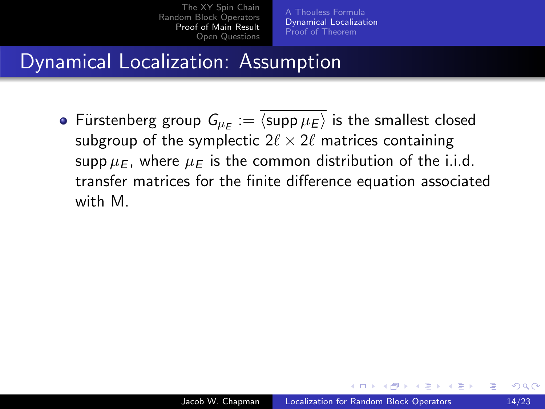[A Thouless Formula](#page-26-0) [Dynamical Localization](#page-34-0) [Proof of Theorem](#page-46-0)

### Dynamical Localization: Assumption

Fürstenberg group  $\mathsf{G}_{\mu_E}:=\langle \mathsf{supp}\, \mu_E\rangle$  is the smallest closed subgroup of the symplectic  $2\ell \times 2\ell$  matrices containing supp  $\mu_F$ , where  $\mu_F$  is the common distribution of the i.i.d. transfer matrices for the finite difference equation associated with M.

A & Y B & Y B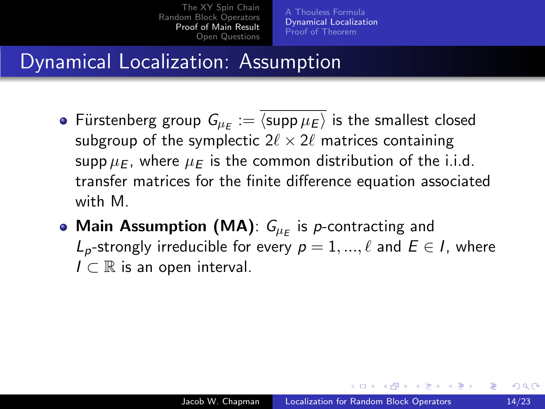[A Thouless Formula](#page-26-0) [Dynamical Localization](#page-34-0) [Proof of Theorem](#page-46-0)

### Dynamical Localization: Assumption

- Fürstenberg group  $\mathsf{G}_{\mu_E}:=\langle \mathsf{supp}\, \mu_E\rangle$  is the smallest closed subgroup of the symplectic  $2\ell \times 2\ell$  matrices containing supp  $\mu_F$ , where  $\mu_F$  is the common distribution of the i.i.d. transfer matrices for the finite difference equation associated with M
- Main Assumption (MA):  $G_{\mu_E}$  is p-contracting and  $L_p$ -strongly irreducible for every  $p = 1, ..., \ell$  and  $E \in I$ , where  $I \subset \mathbb{R}$  is an open interval.

∢ 何 ▶ . ∢ 手 ▶ . ∢ 手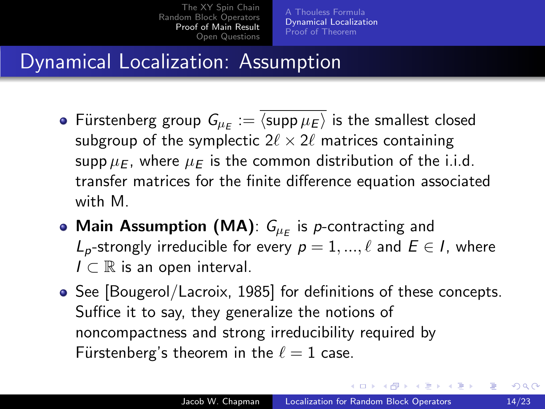[A Thouless Formula](#page-26-0) [Dynamical Localization](#page-34-0) [Proof of Theorem](#page-46-0)

## Dynamical Localization: Assumption

- Fürstenberg group  $\mathsf{G}_{\mu_E}:=\langle \mathsf{supp}\, \mu_E\rangle$  is the smallest closed subgroup of the symplectic  $2\ell \times 2\ell$  matrices containing supp  $\mu_F$ , where  $\mu_F$  is the common distribution of the i.i.d. transfer matrices for the finite difference equation associated with M
- Main Assumption (MA):  $G_{\mu_E}$  is p-contracting and  $L_p$ -strongly irreducible for every  $p = 1, ..., \ell$  and  $E \in I$ , where  $I \subset \mathbb{R}$  is an open interval.
- See [Bougerol/Lacroix, 1985] for definitions of these concepts. Suffice it to say, they generalize the notions of noncompactness and strong irreducibility required by Fürstenberg's theorem in the  $\ell = 1$  case.

イロト イ押ト イヨト イヨト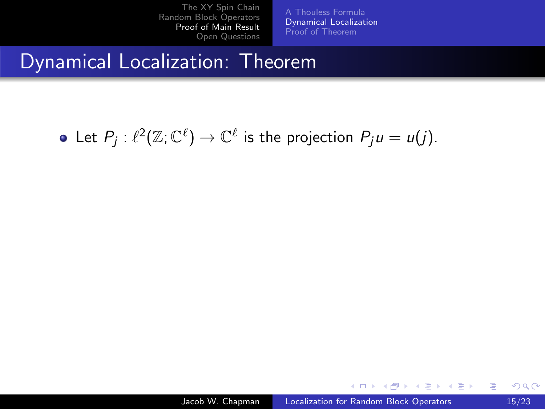[A Thouless Formula](#page-26-0) [Dynamical Localization](#page-34-0) [Proof of Theorem](#page-46-0)

#### Dynamical Localization: Theorem

Let  $P_j: \ell^2({\mathbb Z};{\mathbb C}^\ell) \to {\mathbb C}^\ell$  is the projection  $P_ju=u(j).$ 

and in

∢何 ▶ ∢ ヨ ▶ ∢ ヨ ▶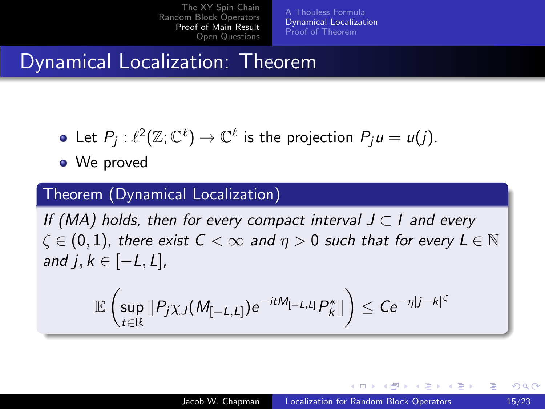[A Thouless Formula](#page-26-0) [Dynamical Localization](#page-34-0) [Proof of Theorem](#page-46-0)

## Dynamical Localization: Theorem

- Let  $P_j: \ell^2({\mathbb Z};{\mathbb C}^\ell) \to {\mathbb C}^\ell$  is the projection  $P_ju=u(j).$
- We proved

#### Theorem (Dynamical Localization)

If (MA) holds, then for every compact interval  $J \subset I$  and every  $\zeta \in (0,1)$ , there exist  $C < \infty$  and  $\eta > 0$  such that for every  $L \in \mathbb{N}$ and j,  $k \in [-L, L]$ ,

$$
\mathbb{E}\left(\sup_{t\in\mathbb{R}}\|P_j\chi_J(M_{[-L,L]})e^{-itM_{[-L,L]}}P_k^*\|\right)\leq Ce^{-\eta|j-k|^{\zeta}}
$$

∢ロト ∢母ト ∢目ト ∢目ト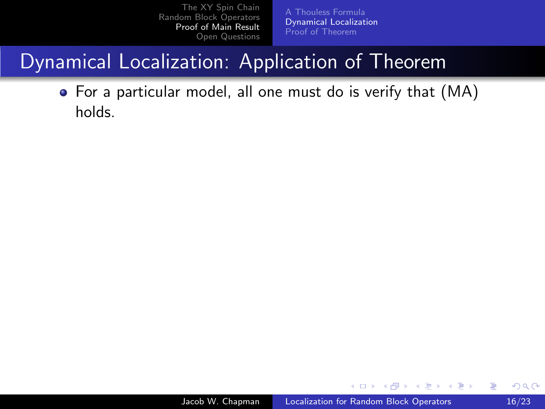[A Thouless Formula](#page-26-0) [Dynamical Localization](#page-34-0) [Proof of Theorem](#page-46-0)

## Dynamical Localization: Application of Theorem

For a particular model, all one must do is verify that (MA) holds.

 $\leftarrow$ 

医阿里氏阿里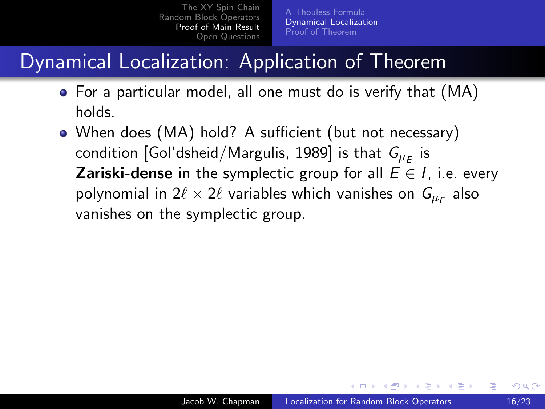## Dynamical Localization: Application of Theorem

- For a particular model, all one must do is verify that (MA) holds.
- When does (MA) hold? A sufficient (but not necessary) condition [Gol'dsheid/Margulis, 1989] is that  $\mathit{G}_{\mu_E}$  is **Zariski-dense** in the symplectic group for all  $E \in I$ , i.e. every polynomial in 2 $\ell \times 2\ell$  variables which vanishes on  $\mathsf{G}_{\mu_E}$  also vanishes on the symplectic group.

A . . 2 . . 2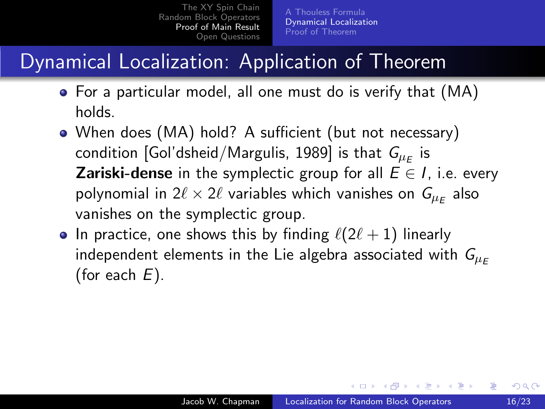## Dynamical Localization: Application of Theorem

- For a particular model, all one must do is verify that (MA) holds.
- When does (MA) hold? A sufficient (but not necessary) condition [Gol'dsheid/Margulis, 1989] is that  $\mathit{G}_{\mu_E}$  is **Zariski-dense** in the symplectic group for all  $E \in I$ , i.e. every polynomial in 2 $\ell \times 2\ell$  variables which vanishes on  $\mathsf{G}_{\mu_E}$  also vanishes on the symplectic group.
- In practice, one shows this by finding  $\ell(2\ell + 1)$  linearly independent elements in the Lie algebra associated with  $G_{\mu_F}$ (for each  $E$ ).

- ④ 伊 ト ④ ヨ ト ④ ヨ ト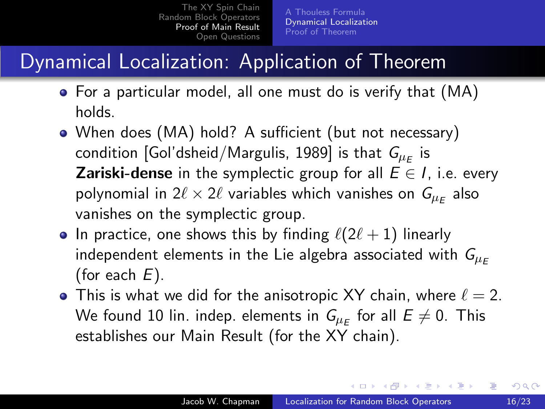## Dynamical Localization: Application of Theorem

- For a particular model, all one must do is verify that (MA) holds.
- When does (MA) hold? A sufficient (but not necessary) condition [Gol'dsheid/Margulis, 1989] is that  $\mathit{G}_{\mu_E}$  is **Zariski-dense** in the symplectic group for all  $E \in I$ , i.e. every polynomial in 2 $\ell \times 2\ell$  variables which vanishes on  $\mathsf{G}_{\mu_E}$  also vanishes on the symplectic group.
- In practice, one shows this by finding  $\ell(2\ell + 1)$  linearly independent elements in the Lie algebra associated with  $G_{\mu_F}$ (for each  $E$ ).
- This is what we did for the anisotropic XY chain, where  $\ell = 2$ . We found 10 lin. indep. elements in  $\mathsf{G}_{\mu_E}$  for all  $E\neq 0.$  This establishes our Main Result (for the XY chain).

∢ロト ∢母ト ∢ヨト ∢ヨト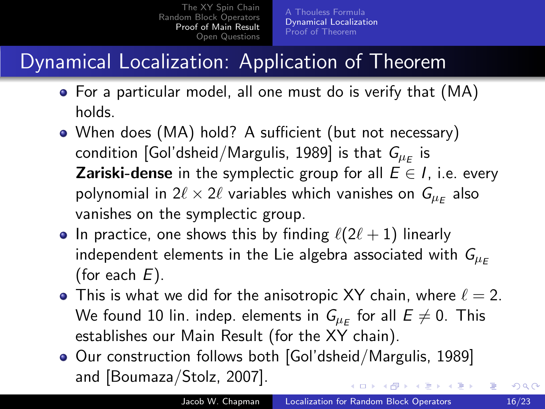## Dynamical Localization: Application of Theorem

- For a particular model, all one must do is verify that (MA) holds.
- When does (MA) hold? A sufficient (but not necessary) condition [Gol'dsheid/Margulis, 1989] is that  $\mathit{G}_{\mu_E}$  is **Zariski-dense** in the symplectic group for all  $E \in I$ , i.e. every polynomial in 2 $\ell \times 2\ell$  variables which vanishes on  $\mathsf{G}_{\mu_E}$  also vanishes on the symplectic group.
- In practice, one shows this by finding  $\ell(2\ell + 1)$  linearly independent elements in the Lie algebra associated with  $G_{\mu_F}$ (for each  $E$ ).
- This is what we did for the anisotropic XY chain, where  $\ell = 2$ . We found 10 lin. indep. elements in  $\mathsf{G}_{\mu_E}$  for all  $E\neq 0.$  This establishes our Main Result (for the XY chain).
- Our construction follows both [Gol'dsheid/Margulis, 1989] and [Boumaza/Stolz, 2007]. ∢ロト ∢母ト ∢目ト ∢目ト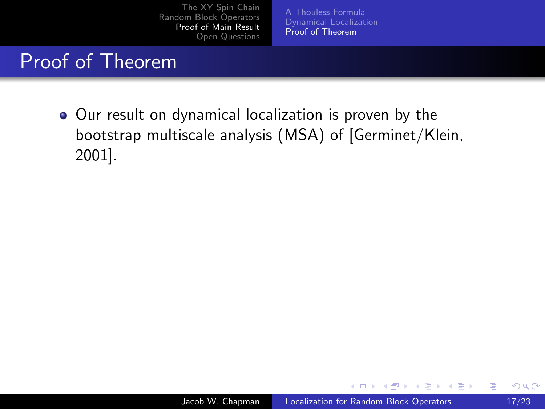[A Thouless Formula](#page-26-0) [Dynamical Localization](#page-34-0) [Proof of Theorem](#page-51-0)

#### Proof of Theorem

Our result on dynamical localization is proven by the bootstrap multiscale analysis (MSA) of [Germinet/Klein, 2001].

and in

<span id="page-46-0"></span>**<何> <ヨ> <ヨ**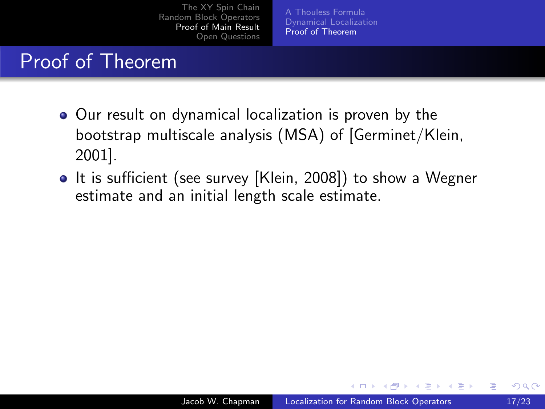[A Thouless Formula](#page-26-0) [Dynamical Localization](#page-34-0) [Proof of Theorem](#page-51-0)

### Proof of Theorem

- Our result on dynamical localization is proven by the bootstrap multiscale analysis (MSA) of [Germinet/Klein, 2001].
- It is sufficient (see survey [Klein, 2008]) to show a Wegner estimate and an initial length scale estimate.

4 17 18

∢ 何 ≯ → 手 ≯ →

 $\Omega$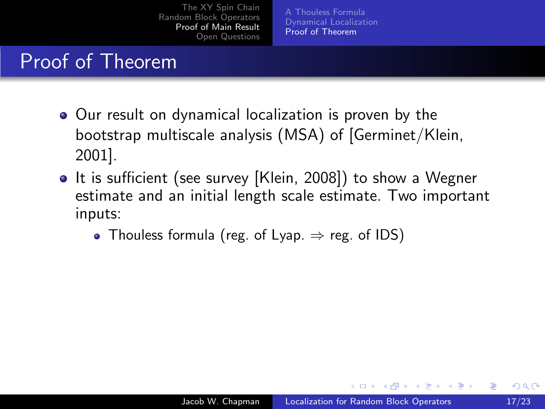[A Thouless Formula](#page-26-0) [Dynamical Localization](#page-34-0) [Proof of Theorem](#page-51-0)

### Proof of Theorem

- Our result on dynamical localization is proven by the bootstrap multiscale analysis (MSA) of [Germinet/Klein, 2001].
- It is sufficient (see survey [Klein, 2008]) to show a Wegner estimate and an initial length scale estimate. Two important inputs:
	- Thouless formula (reg. of Lyap.  $\Rightarrow$  reg. of IDS)

 $\mathcal{A}$  and  $\mathcal{A}$  in the set of  $\mathcal{B}$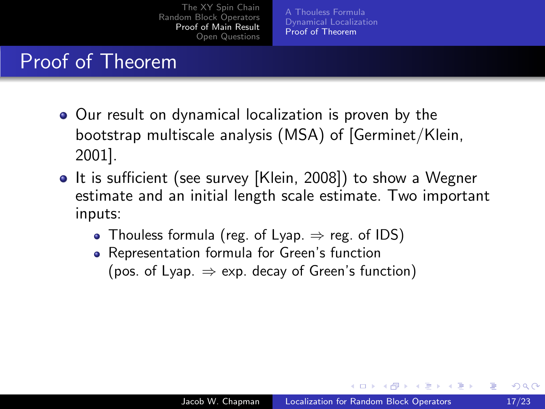[A Thouless Formula](#page-26-0) [Dynamical Localization](#page-34-0) [Proof of Theorem](#page-51-0)

#### Proof of Theorem

- Our result on dynamical localization is proven by the bootstrap multiscale analysis (MSA) of [Germinet/Klein, 2001].
- It is sufficient (see survey [Klein, 2008]) to show a Wegner estimate and an initial length scale estimate. Two important inputs:
	- Thouless formula (reg. of Lyap.  $\Rightarrow$  reg. of IDS)
	- Representation formula for Green's function (pos. of Lyap.  $\Rightarrow$  exp. decay of Green's function)

 $\mathcal{A}$  and  $\mathcal{A}$  in the set of  $\mathcal{B}$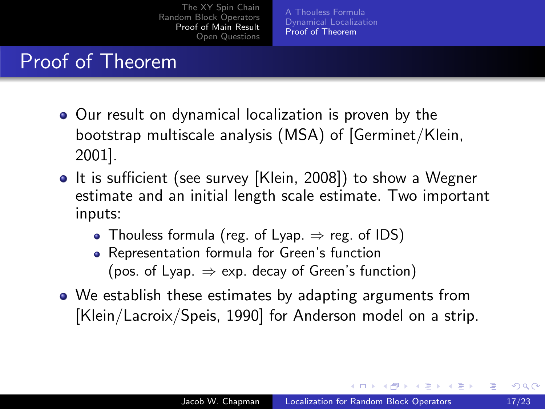[A Thouless Formula](#page-26-0) [Dynamical Localization](#page-34-0) [Proof of Theorem](#page-51-0)

#### Proof of Theorem

- Our result on dynamical localization is proven by the bootstrap multiscale analysis (MSA) of [Germinet/Klein, 2001].
- It is sufficient (see survey [Klein, 2008]) to show a Wegner estimate and an initial length scale estimate. Two important inputs:
	- Thouless formula (reg. of Lyap.  $\Rightarrow$  reg. of IDS)
	- Representation formula for Green's function (pos. of Lyap.  $\Rightarrow$  exp. decay of Green's function)
- We establish these estimates by adapting arguments from [Klein/Lacroix/Speis, 1990] for Anderson model on a strip.

∢ロ ▶ (何 ▶ (日 ▶ (日 )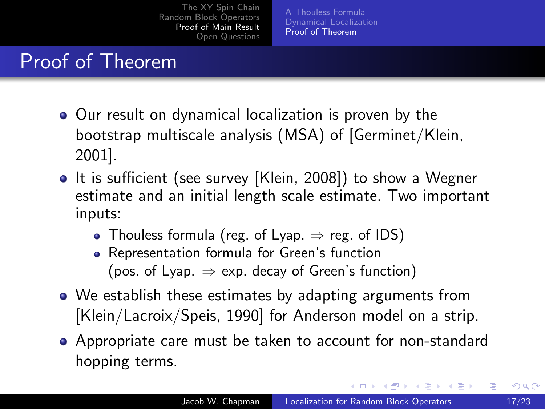[A Thouless Formula](#page-26-0) [Dynamical Localization](#page-34-0) [Proof of Theorem](#page-46-0)

### Proof of Theorem

- Our result on dynamical localization is proven by the bootstrap multiscale analysis (MSA) of [Germinet/Klein, 2001].
- It is sufficient (see survey [Klein, 2008]) to show a Wegner estimate and an initial length scale estimate. Two important inputs:
	- Thouless formula (reg. of Lyap.  $\Rightarrow$  reg. of IDS)
	- Representation formula for Green's function (pos. of Lyap.  $\Rightarrow$  exp. decay of Green's function)
- We establish these estimates by adapting arguments from [Klein/Lacroix/Speis, 1990] for Anderson model on a strip.
- Appropriate care must be taken to account for non-standard hopping terms.

<span id="page-51-0"></span>∢ロト ∢母ト ∢目ト ∢目ト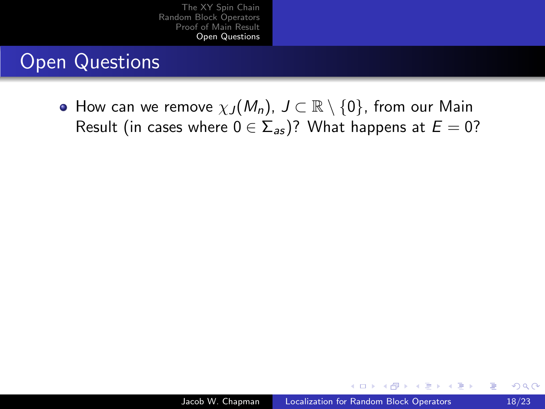## Open Questions

 $\bullet$  How can we remove  $\chi_J(M_n)$ ,  $J \subset \mathbb{R} \setminus \{0\}$ , from our Main Result (in cases where  $0 \in \Sigma_{as}$ )? What happens at  $E = 0$ ?

 $\sim$   $\sim$ 

同→ (ヨ→ (ヨ

<span id="page-52-0"></span> $\Omega$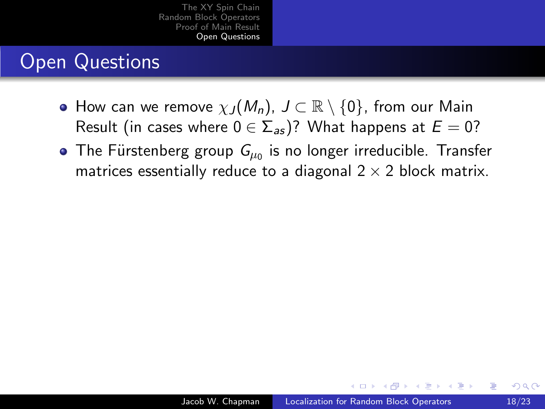## Open Questions

- $\bullet$  How can we remove  $\chi_J(M_n)$ ,  $J \subset \mathbb{R} \setminus \{0\}$ , from our Main Result (in cases where  $0 \in \Sigma_{as}$ )? What happens at  $E = 0$ ?
- The Fürstenberg group  $\mathit{G}_{\mu_{0}}$  is no longer irreducible. Transfer matrices essentially reduce to a diagonal  $2 \times 2$  block matrix.

 $\Box$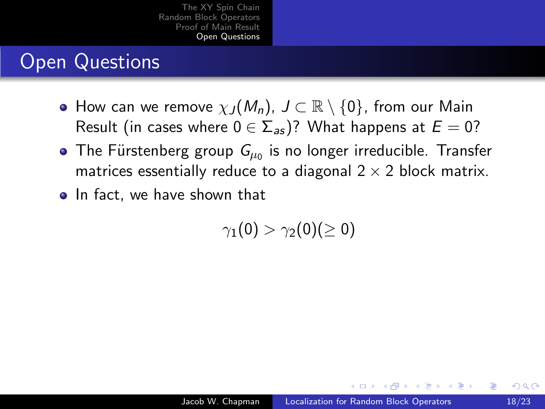## Open Questions

- $\bullet$  How can we remove  $\chi_J(M_n)$ ,  $J\subset \mathbb{R}\setminus\{0\}$ , from our Main Result (in cases where  $0 \in \sum_{a=1}^{\infty}$ )? What happens at  $E = 0$ ?
- The Fürstenberg group  $\mathit{G}_{\mu_{0}}$  is no longer irreducible. Transfer matrices essentially reduce to a diagonal  $2 \times 2$  block matrix.
- In fact, we have shown that

 $\gamma_1(0) > \gamma_2(0)$ (> 0)

∢ 何 ▶ . ∢ 手 ▶ . ∢ 手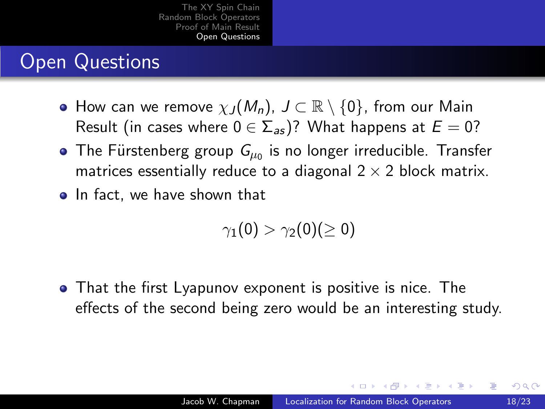## Open Questions

- $\bullet$  How can we remove  $\chi_J(M_n)$ ,  $J\subset \mathbb{R}\setminus\{0\}$ , from our Main Result (in cases where  $0 \in \sum_{a=1}^{\infty}$ )? What happens at  $E = 0$ ?
- The Fürstenberg group  $\mathit{G}_{\mu_{0}}$  is no longer irreducible. Transfer matrices essentially reduce to a diagonal  $2 \times 2$  block matrix.
- In fact, we have shown that

$$
\gamma_1(0) > \gamma_2(0) (\geq 0)
$$

That the first Lyapunov exponent is positive is nice. The effects of the second being zero would be an interesting study.

<span id="page-55-0"></span> $\mathcal{A}$  and  $\mathcal{A}$  in the set of  $\mathcal{B}$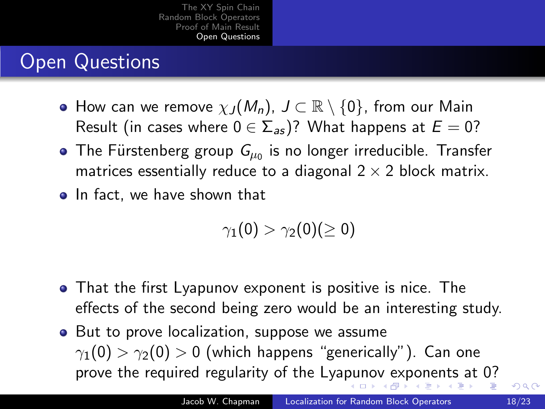## Open Questions

- $\bullet$  How can we remove  $\chi_J(M_n)$ ,  $J\subset \mathbb{R}\setminus\{0\}$ , from our Main Result (in cases where  $0 \in \sum_{a=1}^{\infty}$ )? What happens at  $E = 0$ ?
- The Fürstenberg group  $\mathit{G}_{\mu_{0}}$  is no longer irreducible. Transfer matrices essentially reduce to a diagonal  $2 \times 2$  block matrix.
- In fact, we have shown that

<span id="page-56-0"></span>
$$
\gamma_1(0)>\gamma_2(0)(\geq 0)
$$

- That the first Lyapunov exponent is positive is nice. The effects of the second being zero would be an interesting study.
- But to prove localization, suppose we assume  $\gamma_1(0) > \gamma_2(0) > 0$  (which happens "generically"). Can one prove the required regularity of the Lya[pu](#page-55-0)[no](#page-57-0)[v](#page-51-0) [e](#page-52-0)[x](#page-56-0)[p](#page-57-0)[o](#page-51-0)[n](#page-52-0)[en](#page-65-0)[t](#page-51-0)[s](#page-52-0) [at](#page-65-0) [0](#page-0-0)[?](#page-65-0)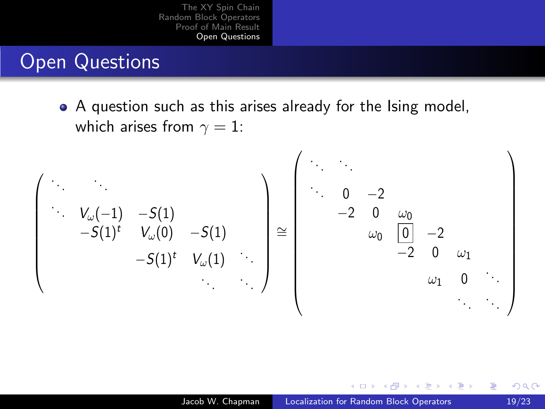#### Open Questions

• A question such as this arises already for the Ising model, which arises from  $\gamma = 1$ :



<span id="page-57-0"></span>つくへ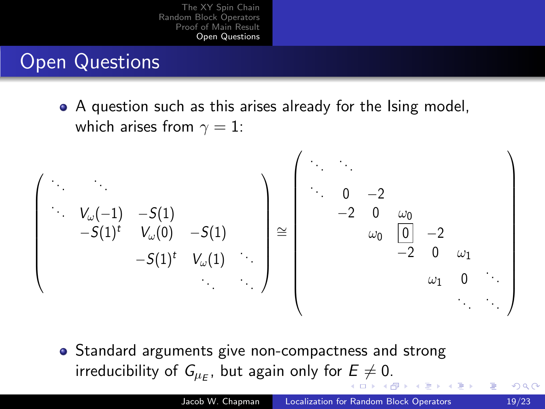## Open Questions

A question such as this arises already for the Ising model, which arises from  $\gamma = 1$ :



<span id="page-58-0"></span>• Standard arguments give non-compactness and strong irreducibility of  $\mathsf{G}_{\mu_{E}}$  $\mathsf{G}_{\mu_{E}}$  $\mathsf{G}_{\mu_{E}}$ , but again only for  $E\neq 0.$  $E\neq 0.$  $E\neq 0.$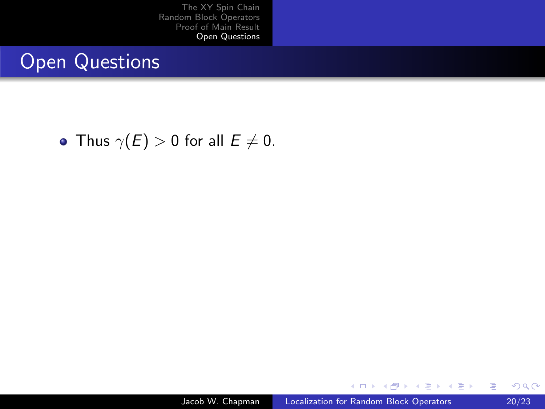#### Open Questions

• Thus  $\gamma(E) > 0$  for all  $E \neq 0$ .

4 0 8

す 何 ト す ヨ ト す ヨ ト

<span id="page-59-0"></span>Þ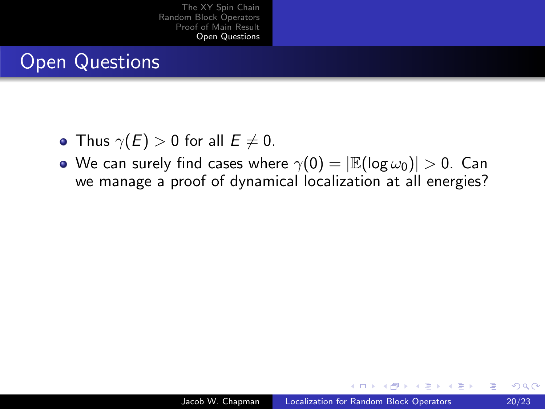## Open Questions

- Thus  $\gamma(E) > 0$  for all  $E \neq 0$ .
- We can surely find cases where  $\gamma(0) = |\mathbb{E}(\log \omega_0)| > 0$ . Can we manage a proof of dynamical localization at all energies?

 $\sim$  m  $\sim$ 

∢ 何 ▶ イ ヨ ▶ イ ヨ

 $\Omega$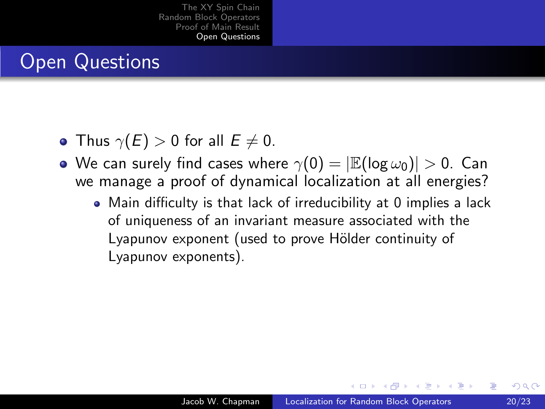### Open Questions

- Thus  $\gamma(E) > 0$  for all  $E \neq 0$ .
- We can surely find cases where  $\gamma(0) = |\mathbb{E}(\log \omega_0)| > 0$ . Can we manage a proof of dynamical localization at all energies?
	- Main difficulty is that lack of irreducibility at 0 implies a lack of uniqueness of an invariant measure associated with the Lyapunov exponent (used to prove Hölder continuity of Lyapunov exponents).

 $\mathcal{A}$  and  $\mathcal{A}$  in the set of  $\mathcal{B}$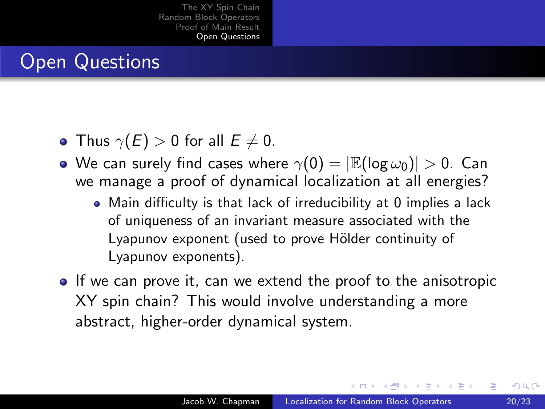## Open Questions

- Thus  $\gamma(E) > 0$  for all  $E \neq 0$ .
- We can surely find cases where  $\gamma(0) = |\mathbb{E}(\log \omega_0)| > 0$ . Can we manage a proof of dynamical localization at all energies?
	- Main difficulty is that lack of irreducibility at 0 implies a lack of uniqueness of an invariant measure associated with the Lyapunov exponent (used to prove Hölder continuity of Lyapunov exponents).
- **If we can prove it, can we extend the proof to the anisotropic** XY spin chain? This would involve understanding a more abstract, higher-order dynamical system.

 $\mathcal{A}$  and  $\mathcal{A}$  in the  $\mathcal{A}$  in the  $\mathcal{A}$  in the  $\mathcal{A}$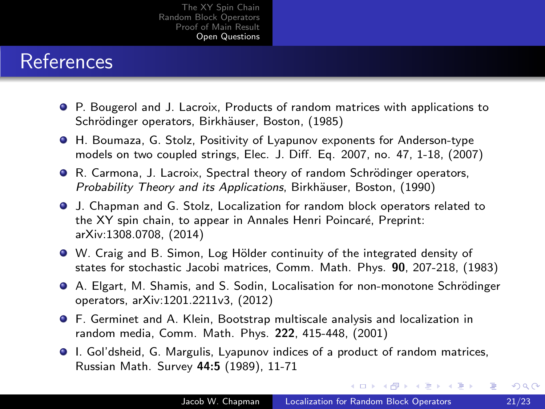### References

- P. Bougerol and J. Lacroix, Products of random matrices with applications to Schrödinger operators, Birkhäuser, Boston, (1985)
- H. Boumaza, G. Stolz, Positivity of Lyapunov exponents for Anderson-type models on two coupled strings, Elec. J. Diff. Eq. 2007, no. 47, 1-18, (2007)
- R. Carmona, J. Lacroix, Spectral theory of random Schrödinger operators, Probability Theory and its Applications, Birkhäuser, Boston, (1990)
- J. Chapman and G. Stolz, Localization for random block operators related to the XY spin chain, to appear in Annales Henri Poincaré, Preprint: arXiv:1308.0708, (2014)
- W. Craig and B. Simon, Log Hölder continuity of the integrated density of states for stochastic Jacobi matrices, Comm. Math. Phys. 90, 207-218, (1983)
- A. Elgart, M. Shamis, and S. Sodin, Localisation for non-monotone Schrödinger operators, arXiv:1201.2211v3, (2012)
- F. Germinet and A. Klein, Bootstrap multiscale analysis and localization in random media, Comm. Math. Phys. 222, 415-448, (2001)
- I. Gol'dsheid, G. Margulis, Lyapunov indices of a product of random matrices, Russian Math. Survey 44:5 (1989), 11-71

メロメ メ母メ メミメ メミメ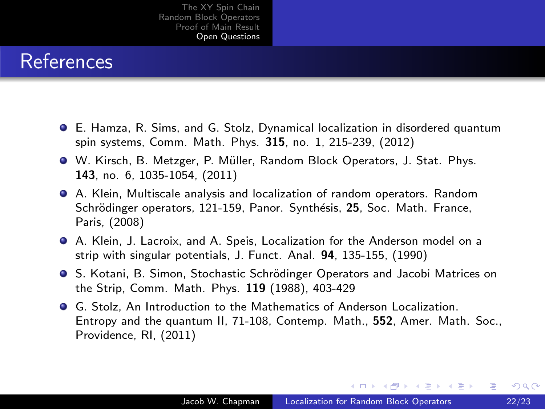#### References

- E. Hamza, R. Sims, and G. Stolz, Dynamical localization in disordered quantum spin systems, Comm. Math. Phys. 315, no. 1, 215-239, (2012)
- W. Kirsch, B. Metzger, P. Müller, Random Block Operators, J. Stat. Phys. 143, no. 6, 1035-1054, (2011)
- A. Klein, Multiscale analysis and localization of random operators. Random Schrödinger operators, 121-159, Panor. Synthésis, 25, Soc. Math. France, Paris, (2008)
- A. Klein, J. Lacroix, and A. Speis, Localization for the Anderson model on a strip with singular potentials, J. Funct. Anal. 94, 135-155, (1990)
- S. Kotani, B. Simon, Stochastic Schrödinger Operators and Jacobi Matrices on the Strip, Comm. Math. Phys. 119 (1988), 403-429
- G. Stolz, An Introduction to the Mathematics of Anderson Localization. Entropy and the quantum II, 71-108, Contemp. Math., 552, Amer. Math. Soc., Providence, RI, (2011)

メロメ メ母メ メミメ メミメ